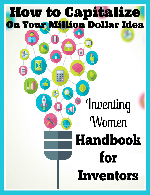## How to Capitalize On Your Million Dollar Idea

E

# Inventing Women **Handbook** for **Inventors**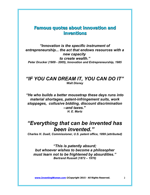#### **Famous quotes about innovation and inventions**

*"Innovation is the specific instrument of entrepreneurship... the act that endows resources with a new capacity to create wealth." Peter Drucker (1909 - 2005), Innovation and Entrepreneurship, 1985*

#### *"IF YOU CAN DREAM IT, YOU CAN DO IT" Walt Disney*

*"He who builds a better mousetrap these days runs into material shortages, patent-infringement suits, work stoppages, collusive bidding, discount discrimination --and taxes." H. E. Martz*

#### *"Everything that can be invented has been invented."*

*Charles H. Duell, Commissioner, U.S. patent office, 1899 (attributed)*

*"This is patently absurd; but whoever wishes to become a philosopher must learn not to be frightened by absurdities." Bertrand Russell (1872 – 1970)*

 **[www.InventingWomen.co](http://www.InventingWomen.co/)[m](http://Www.InventingWomen.com/) ©Copyright 2015 - All Rights Reserved. 2**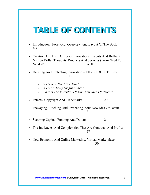## **TABLE OF CONTENTS**

- Introduction, Foreword, Overview And Layout Of The Book 4-7
- Creation And Birth Of Ideas, Innovations, Patents And Brilliant Million Dollar Thoughts, Products And Services (From Need To Needed!) 8-18
- Defining And Protecting Innovation THREE QUESTIONS 18
	- *Is There A Need For This?*
	- *Is This A Truly Original Idea?*
	- *What Is The Potential Of This New Idea Of Patent?*
- Patents, Copyright And Trademarks 20
- Packaging, Pitching And Presenting Your New Idea Or Patent 21
- Securing Capital, Funding And Dollars 24
- The Intricacies And Complexities That Are Contracts And Profits 27
- New Economy And Online Marketing, Virtual Marketplace 30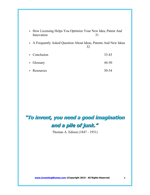| • How Licensing Helps You Optimize Your New Idea, Patent And |  |
|--------------------------------------------------------------|--|
| Innovation                                                   |  |

- A Frequently Asked Question About Ideas, Patents And New Ideas 32
- Conclusion 33-43 Glossary 44-50
- Resources 50-54

## **"To invent, you need a good imagination and a pile of junk."**

Thomas A. Edison (1847 - 1931)

 **[www.InventingWomen.co](http://www.InventingWomen.co/)[m](http://Www.InventingWomen.com/) ©Copyright 2015 - All Rights Reserved. 4**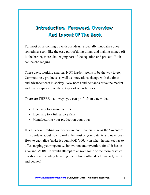## **Introduction, Foreword, Overview And Layout Of The Book**

For most of us coming up with our ideas, especially innovative ones sometimes seem like the easy part of doing things and making money off it, the harder, more challenging part of the equation and process! Both can be challenging.

These days, working smarter, NOT harder, seems to be the way to go. Commodities, products, as well as innovations change with the times and advancements in society. New needs and demands drive the market and many capitalize on these types of opportunities.

#### There are THREE main ways you can profit from a new idea:

- Licensing to a manufacturer
- Licensing to a full service firm
- Manufacturing your product on your own

It is all about limiting your exposure and financial risk as the 'inventor' . This guide is about how to make the most of your patents and new ideas. How to capitalize (make it count FOR YOU!) on what the market has to offer, tapping your ingenuity, innovation and invention, for all it has to give and MORE! It would attempt to answer some of the more practical questions surrounding how to get a million dollar idea to market, profit and pocket!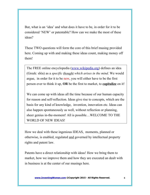But, what is an 'idea' and what does it have to be, in order for it to be considered 'NEW' or patentable? How can we make the most of these ideas?

These TWO questions will form the core of this brief musing provided here. Coming up with and making these ideas count, making money off them!

The FREE online encyclopedia [\(www.wikipedia.org\)](http://www.wikipedia.org/) defines an idea (Greek: ιδέα) as a *specific thought which arises in the mind*. We would argue, in order for it to be new, you will either have to be the first person ever to think it up, **OR** be the first to market, to **capitalize** on it!

We can come up with ideas all the time because of our human capacity for reason and self-reflection. Ideas give rise to concepts, which are the basis for any kind of knowledge, invention, innovation etc. Ideas can also happen spontaneously as well, without reflection or planning, sheer genius in-the-moment! All is possible…WELCOME TO THE WORLD OF NEW IDEAS!

How we deal with these ingenious IDEAS, moments, planned or otherwise, is enabled, regulated and governed by intellectual property rights and patent law.

Patents have a direct relationship with ideas! How we bring them to market, how we improve them and how they are executed an dealt with in business is at the center of our musings here.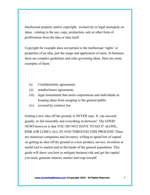Intellectual property and/or copyright, exclusivity or legal monopoly on ideas, relating to the use, copy, production, sale or other form of profitization from the idea or idea itself.

Copyright for example does not pertain to the intellectual 'rights' or properties of an idea, just the usage and application of same. In business there are complex guidelines and rules governing ideas. Here are some examples of them:

- (i) Confidentiality agreements
- (ii) nondisclosure agreements
- (iii) legal instruments that assist corporations and individuals in keeping ideas from escaping to the general public.
- (iv) covered by contract law

Getting a new idea off the ground, is NEVER easy. It can succeed greatly, or fail miserably and everything in-between! The GOOD NEWS however is that YOU DO NOT HAVE TO GO IT ALONE, RISK (OR LOSE!) ALL IN AND THROUGH THIS PROCESS! There are numerous companies and investors, willing to spend lots of capital on getting an idea off the ground or a new product, service, invention or useful tool to market and in the hands of the general population. This guide will show you how to mitigate business risk and get the capital you need, generate interest, market and reap reward!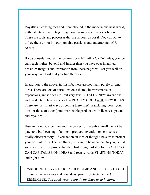Royalties, licensing fees and more abound in the modern business world, with patents and secrets getting more prominence than ever before. These are tools and processes that are at your disposal. You can opt to utilize them or not in your pursuits, passions and undertakings (OR NOT!).

If you consider yourself an ordinary Joe/Jill with a GREAT idea, you too can reach higher, beyond and further than you have ever imagined possible! Insights and inspiration from these pages will set you well on your way. We trust that you find them useful.

In addition to the above, in this life, there are not many purely original ideas. There are lots of variations on a theme, improvements or expansions, substitutes etc., but very few TOTALLY NEW inventions and products. There are very few REALLY GOOD AND NEW IDEAS. There are just smart ways of getting there first! Translating ideas (your own, or those of others) into marketable products, with licenses, patents and royalties.

Human thought, ingenuity and the process of invention itself cannot be patented, but licensing of an item, product, invention or service is a totally different story. If you act on an idea or thought, be sure to protect your best interests. The last thing you want to have happen to you, is that someone claims or proves that they had thought of it before! YOU TOO CAN CAPITALIZE ON IDEAS and reap rewards STARTING TODAY and right now.

**REMEMBER, The good news is** *you do not have to go it alone.* You DO NOT HAVE TO RISK LIFE, LIMB AND FUTURE TO GET these rights, royalties and new ideas, patents protected either!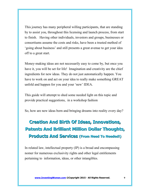This journey has many peripheral willing participants, that are standing by to assist you, throughout this licensing and launch process, from start to finish. Having other individuals, investors and groups, businesses or consortiums assume the costs and risks, have been a trusted method of 'going about business' and still presents a great avenue to get your idea off to a great start.

Money-making ideas are not necessarily easy to come by, but once you have it, you will be set for life! Imagination and creativity are the chief ingredients for new ideas. They do not just automatically happen. You have to work on and act on your idea to really make something GREAT unfold and happen for you and your 'new' IDEA.

This guide will attempt to shed some needed light on this topic and provide practical suggestions, in a workshop fashion

So, how are new ideas born and bringing dreams into reality every day?

## **Creation And Birth Of Ideas, Innovations, Patents And Brilliant Million Dollar Thoughts, Products And Services (From Need To Needed!)**

In related law, intellectual property (IP) is a broad and encompassing nomer for numerous exclusivity rights and other legal entitlements pertaining to information, ideas, or other intangibles.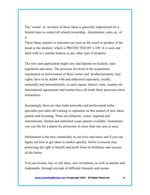The 'owner' or inventor of these ideas is generally empowered for a limited time to control all related ownership, distrobution, sales etc. of it.

These ideas, patents or outcomes are seen as the result or product of the mind or the intellect, which is PROTECTED BY LAW. It is seen and dealt with in a similar fashion as any other type of property.

The laws and application might vary and depend on location, state regulation and more. The processe involved in the acquisition, registration or enforcement of these owner and 'product/property type' rights, have to be dealth with and addressed seperately, locally, nationally and internationally, in each region, district, state, country etc. Interntaional agreements and treaties have all made these processes more streamlines.

Increasingly there are idea trade-networks and professional niche, specialist providers all wanting to capitalize on this market of new ideas, patents and licensing. There are domestic, zones, regional and international, limited and unlimited scope patents available. Sometimes you can file for a patent for protection in more than one area at once.

Information is the new commodity in our lives and times and if you can figure out how to get ideas to market quickly, before everyone else, protecting the right to benefit and profit from its brilliance and success, all the better.

You can license, buy or sell ideas, new inventions, as well as patents and trademarks, through myriads of different channels and means.

 **[www.InventingWomen.co](http://www.InventingWomen.co/)[m](http://Www.InventingWomen.com/) ©Copyright 2015 - All Rights Reserved. 10**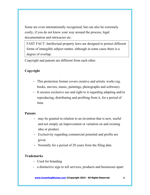Some are even internationally recognized, but can also be extremely costly, if you do not know your way around the process, legal documentation and intricacies etc.

FAST FACT: Intellectual property laws are designed to protect different forms of intangible subject matter, although in some cases there is a degree of overlap.

Copyright and patents are different from each other.

#### **Copyright**

- This protection format covers creative and artistic works (eg. books, movies, music, paintings, photographs and software).
- It secures exclusive use and right to it regarding adapting and/or reproducing, distributing and profiting from it, for a period of time.

#### **Patents**

- may be granted in relation to an invention that is new, useful and not simply an improvement or variation on and existing idea or product.
- Exclusivity regarding commercial potential and profits are given
- Normally for a period of 20 years from the filing date.

#### **Trademarks**

- Used for branding
- a distinctive sign to tell services, products and businesses apart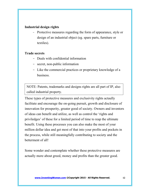#### **Industrial design rights**

- Protective measures regarding the form of appearance, style or design of an industrial object (eg. spare parts, furniture or textiles).

#### **Trade secrets**

- Deals with confidential information
- secret, non-public information
- Like the commercial practices or proprietary knowledge of a business.

NOTE: Patents, trademarks and designs rights are all part of IP, also called industrial property.

These types of protective measures and exclusivity rights actaully facilitate and encourage the on-going pursuit, growth and disclosure of innovation for prosperity, greater good of society. Owners and inventors of ideas can benefit and utilize, as well as control the 'rights and priviledges' of these for a limited period of time to reap the ultimate benefit. Using these processes you can also make the most of your million dollar idea and get most of that into your profits and pockets in the process, while still meaningfully contributing to society and the betterment of all!

Some wonder and contemplate whether these protective measures are actually more about greed, money and profits than the greater good.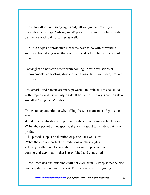These so-called exclusivity rights only allows you to protect your interests against legal 'infringement' per se. They are fully transferable, can be licensed to third parties as well.

The TWO types of protective measures have to do with preventing someone from doing something with your idea for a limited period of time.

Copyrights do not stop others from coming up with variations or improvements, competing ideas etc. with regards to your idea, product or service.

Trademarks and patents are more powerful and robust. This has to do with property and esclusivity rights. It has to do with registered rights or so-called "sui generis" rights.

Things to pay attention to when filing these instruments and processes are:

-Field of specialization and product, subject matter may actaully vary -What they permit or not specifically with respect to the idea, patent or product

-The period, scope and duration of particular exclusions

-What they do not protect or limitations on these rights.

-They typically have to do with unauthorized reproduction or commercial exploitation that is prohibited and controlled.

These processes and outcomes will help you actaully keep someone else from capitalizing on your idea(s). This is however NOT giving the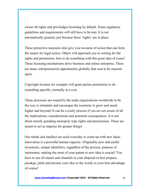owner all rights and priviledges licensing by default. Some regulatory guidelines and requirements will still have to be met. It is not automatically granted, just because these 'rights' are in place.

These protective measures also give you recourse of action that can form the means for legal action. Others will approach you in writing for the rights and permission, fees to do something with this great idea of yours! These licensing mechanisms drive business and online enterprise. There are many entrepreneurial opportunities globally that wait to be enacted upon.

Copyright licenses for example will grant parties permission to do something specific, normally at a cost.

These processes are touted by the trade organizations worldwide to be the way to stimulate and encourgae the economy to grow and reach higher and beyond! It can be a costly process if you are not aware of all the implications, considerations and potential consequences. It is not about merely granding monopoly type rights and permissions. These are meant to act as impetus for greater things!

Our minds and intellect are used everyday to come up with new ideas. Innovation is a powerful human capacity. Originality,new and useful inventions, unique identifiers, regardless of the process, purpose of instrument, making the most of your patent or new idea is crucial! You have to use all means and channels at your disposal to best prepare, pacakge, pitch and present your idea to the world, to your best advantage of course!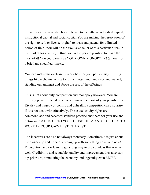These measures have also been referred to recently as individual capital, instructional capital and social capital You are making the reservation of the right to sell, or license 'rights' to ideas and patents for a limited period of time. You will be the exclusive seller of this particular item in the market for a while, putting you in the perfect position to make the most of it! You could see it as YOUR OWN MONOPOLY! (at least for a brief and specified time)…

You can make this exclusivity work best for you, particularly utilizing things like niche marketing to further target your audience and market, standing out amongst and above the rest of the offerings.

This is not about only competition and monopoly however. You are utilizing powerful legal processes to make the most of your possibilities. Rivalry and tragedy or conflic and unhealthy competition can also arise if it is not dealt with effectively. These exclusivity rights are commonplace and accepted standard practice and there for your use and optimization! IT IS UP TO YOU TO USE THEM AND PUT THEM TO WORK IN YOUR OWN BEST INTEREST.

The incentives are also not always monetary. Sometimes it is just about the ownership and pride of coming up with something novel and new! Recognition and exclusivity go a long way to protect ideas that way as well. Creditbility and reputable, quality and improvement thus also stay top priorities, stimulating the economy and ingenuity even MORE!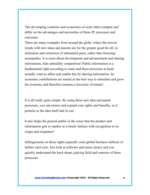The developing countries and economies of scale often compete and differ on the advantages and necessities of these IP, processes and outcomes.

There are many examples from around the globe, where the newest trends with new ideas and patents are for the greater good for all, reutilization and extraction of substantial parts, rather than fostering monopolies. It is more about development and advancement and sharing information, than unhealthy competition! Public information is a fundamental right according to some and these processes at heart actually want to affect and enable this by sharing information. Its economic contributions are touted as the best way to stimulate and grow the economy and therefore remains a necessity of means!

It is all really quite simple. By using these new idea and patent processes, you can ensure and expand your rights and benefits, as it pertains to the idea itself and its use.

It also helps the general public in the sense that the product and information gets to market in a timely fashion with recognition to its origin and originator!

Infringements on these rights typically costs global business millions of dollars each year. Just look at software and music piracy and you quickly understand the back-drops, playing field and contexts of these processes.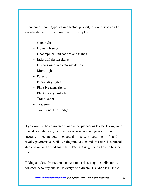There are different types of intellectual property as our discussion has already shown. Here are some more examples:

- Copyright
- Domain Names
- Geographical indications and filings
- Industrial design rights
- IP cores used in electronic design
- Moral rights
- Patents
- Personality rights
- Plant breeders' rights
- Plant variety protection
- Trade secret
- Trademark
- Traditional knowledge

If you want to be an inventor, innovator, pioneer or leader, taking your new idea all the way, there are ways to secure and guarantee your success, protecting your intellectual property, structuring profit and royalty payments as well. Linking innovation and investors is a crucial step and we will spend some time later in this guide on how to best do that.

Taking an idea, abstraction, concept to market, tangible deliverable, commodity to buy and sell is everyone's dream. TO MAKE IT BIG!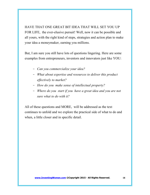HAVE THAT ONE GREAT BIT IDEA THAT WILL SET YOU UP FOR LIFE, the ever-elusive pursuit! Well, now it can be possible and all yours, with the right kind of steps, strategies and action plan to make your idea a moneymaker, earning you millions.

But, I am sure you still have lots of questions lingering. Here are some examples from entrepreneurs, inventors and innovators just like YOU:

- *Can you commercialize your idea?*
- *What about expertise and resources to deliver this product effectively to market?*
- *How do you make sense of intellectual property?*
- *Where do you start if you have a great idea and you are not sure what to do with it?*

All of these questions and MORE, will be addressed as the text continues to unfold and we explore the practical side of what to do and when, a little closer and in specific detail.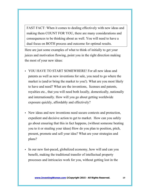FAST FACT: When it comes to dealing effectively with new ideas and making them COUNT FOR YOU, there are many considerations and consequences to be thinking about as well. You will need to have a dual focus on BOTH process and outcome for optimal results.

Here are just some examples of what to think of initially to get your juices and motivation flowing, point you in the right direction making the most of your new ideas:

- YOU HAVE TO START SOMEWHERE! For all new ideas and patents as well as new inventions for sale, you need to go where the market is (and/or bring the market to you!). What are you most likely to have and need? What are the inventions, licenses and patents, royalties etc., that you will need both locally, domestically, nationally and internationally. How will you go about getting worldwide exposure quickly, affordably and effectively?
- New ideas and new inventions need secure contexts and protection, expedient and decisive action to get to market. How can you safely go about ensuring that this in fact happens, (without someone beating you to it or stealing your ideas) How do you plan to position, pitch, present, promote and sell your idea? What are your strategies and plans?
- In our new fast-paced, globalized economy, how will and can you benefit, making the traditional transfer of intellectual property processes and intricacies work for you, without getting lost in the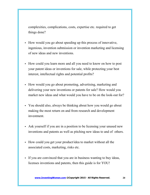complexities, complications, costs, expertise etc. required to get things done?

- How would you go about speeding up this process of innovative, ingenious, invention submission or invention marketing and licensing of new ideas and new inventions.
- How could you learn more and all you need to know on how to post your patent ideas or inventions for sale, while protecting your best interest, intellectual rights and potential profits?
- How would you go about promoting, advertising, marketing and delivering your new inventions or patents for sale? How would you market new ideas and what would you have to be on the look-out for?
- You should also, always be thinking about how you would go about making the most return on and from research and development investment.
- Ask yourself if you are in a position to be licensing your unused new inventions and patents as well as pitching new ideas to and of others.
- How could you get your product/idea to market without all the associated costs, marketing, risks etc.
- If you are convinced that you are in business wanting to buy ideas, licenses inventions and patents, then this guide is for YOU!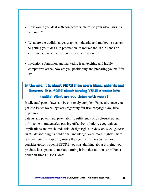- How would you deal with competitors, claims to your idea, lawsuits and more?
- What are the traditional geographic, industrial and marketing barriers to getting your idea into production, to market and in the hands of consumers?. What can you realistically do about it?
- Invention submission and marketing is an exciting and highly competitive arena, how are you positioning and preparing yourself for it?

#### **In the end, it is about MORE than mere ideas, patents and licenses. It is MORE about turning YOUR dreams into reality! What are you doing with yours?**

Intellectual patent laws can be extremely complex. Especially once you get into issues (even legalese) regarding fair use, copyright law, ideaexpression

patents and patent law, patentability, sufficiency of disclosure, patent infringement, trademarks, passing off and/or dilution , geographical implications and reach, industrial design rights, trade secrets, *sui generis* rights, database rights, traditional knowledge, even moral rights! There is more here than typically meets the eye. What do you need to consider upfront, even BEFORE you start thinking about bringing your product, idea, patent to market, turning it into that million (or billion!) dollar all-time GREAT idea!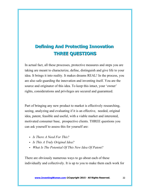## **Defining And Protecting Innovation THREE QUESTIONS**

In actual fact, all these processes, protective measures and steps you are taking are meant to characterize, define, distinguish and give life to your idea. It brings it into reality. It makes dreams REAL! In the process, you are also safe-guarding the innovation and inventing itself. You are the source and originator of this idea. To keep this intact, your 'owner' rights, considerations and privileges are secured and guaranteed.

Part of bringing any new product to market is effectively researching, seeing, analyzing and evaluating if it is an effective, needed, original idea, patent, feasible and useful, with a viable market and interested, motivated consumer base, prospective clients. THREE questions you can ask yourself to assess this for yourself are:

- *Is There A Need For This?*
- *Is This A Truly Original Idea?*
- *What Is The Potential Of This New Idea Of Patent?*

There are obviously numerous ways to go about each of these individually and collectively. It is up to you to make them each work for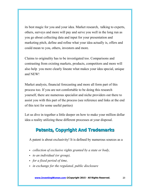its best magic for you and your idea. Market research, talking to experts, others, surveys and more will pay and serve you well in the long run as you go about collecting data and input for your presentation and marketing pitch, define and refine what your idea actually is, offers and could mean to you, others, investors and more.

Claims to originality has to be investigated too. Comparisons and contrasting from existing markets, products, competitors and more will also help you more clearly lineate what makes your idea special, unique and NEW!

Market analysis, financial forecasting and more all form part of this process too. If you are not comfortable to be doing this research yourself, there are numerous specialist and niche providers out there to assist you with this part of the process (see reference and links at the end of this text for some useful parties)

Let us dive in together a little deeper on how to make your million dollar idea a reality utilizing these different processes at your disposal.

#### **Patents, Copyright And Trademarks**

A patent is about exclusivity! It is defined by numerous sources as a

- *collection of exclusive rights granted by a state or body,*
- *to an individual (or group),*
- *for a fixed period of time,*
- *in exchange for the regulated, public disclosure*

 **[www.InventingWomen.co](http://www.InventingWomen.co/)[m](http://Www.InventingWomen.com/) ©Copyright 2015 - All Rights Reserved. 23**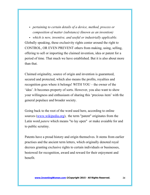*pertaining to certain details of a device, method, process or composition of matter (substance) (known as an invention)* 

*which is new, inventive, and useful or industrially applicable.*

Globally speaking, these exclusivity rights center around the right to CONTROL, OR EVEN PREVENT others from making, using, selling, offering to sell or importing the claimed invention, idea or patent for a period of time. That much we have established. But it is also about more than that.

Claimed originality, source of origin and invention is guaranteed, secured and protected, which also means the profits, royalties and recognition goes where it belongs! WITH YOU – the owner of the 'idea'. It becomes property of sorts. However, you also want to show your willingness and enthusiasm of sharing this 'precious item' with the general populace and broader society.

Going back to the root of the word used here, according to online sources [\(www.wikipedia.org\)](http://www.wikipedia.org/), the term "patent" originates from the Latin word *patere* which means "to lay open" or make avaiable for and to public scrutiny.

Patents have a proud history and origin themselves. It stems from earlier practises and the ancient term letters, which originally denoted royal decrees granting exclusive rights to certain individuals or businesses, bestowed for recognition, award and reward for their enjoyment and benefit.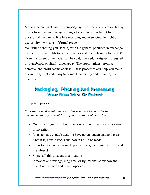Modern patent rights are like property rights of sorts. You are excluding others form making, using, selling, offering, or importing it for the duration of the patent. It is like reserving and exercising the right of exclusivity, by means of formal process!

You will be sharing your idea(s) with the general populace in exchange for the exclusive rights to be the inventor and one to bring it to market! Even this patent or new idea can be sold, licensed, mortgaged, assigned or transferred, or simply given away. The opportunities, promise, potential and profit seems endless! These processes can help you make our million, first and many to come! Channeling and funneling the potential

#### **Packaging, Pitching And Presenting Your New Idea Or Patent**

#### The patent process

*So, without further ado, here is what you have to consider and effectively do, if you want to 'register' a patent of new idea:* 

- You have to give a full written description of the idea, innovation or invention
- It has to have enough detail to have others understand and grasp what it is, how it works and how it has to be made.
- It has to make sense from all perspectives, including their use and usefulness!
- Some call this a patent specification
- It may have drawings, diagrams, or figures that show how the invention is made and how it operates.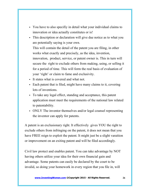- You have to also specifiy in detail what your individual claims to innovation or idea actaully constitutes or is!
- This description or declaration will give due notice as to what you are potentially saying is your own. This will contain the detail of the patent you are filing, in other works what exactly and precisely, as the idea, invention, innovation, product, service, or patent owner is. This in turn will secure the right to exclude others from making, using, or selling it for a period of time. This will form the real basis of evaluation of your 'right' or claim to fame and exclusivity.
- It states what is covered and what not.
- Each patent that is filed, might have many claims to it, covering lots of inventions.
- To take any legal effect, standing and acceptance, this patent application must meet the requirements of the national law related to patentability.
- ONLY The inventor themselves and/or legal counsel representing the inventor can apply for patents.

A patent is an exclusionary right. It effectively gives YOU the right to exclude others from infringing on the patent, it does not mean that you have FREE reign to exploit the patent. It might just be a slight varaition or improvement on an exiting patent and will be filed accordingly.

Civil law protect and enables patent. You can take advantage by NOT having others utilize your idea for their own financial gain and advantage. Some patents can easily be declared by the court to be invalid, so doing your homework in every region that you file in, will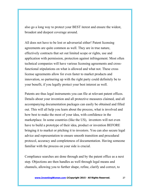also go a long way to protect your BEST iterest and ensure the widest, broadest and deepest coverage around.

All does not have to be lost or adverserial either! Patent licensing agreements are quite common as well. They are in true nature, effectively contracts that set out limited scope or rights, use and application with permission, protection against infringement. Most often technical companies will have various licensing agreements and crossfunctional stipulations on what is allowed and what not. These cross license agreements allow for even faster to market products and innovation, so partnering up with the right party could definitely be to your benefit, if you legally protect your best interest as well.

Patents are thus legal instruments you can file at relevant patent offices. Details about your invention and all protective measures claimed, and all accompanying documentation packages can easily be obtained and filled out. This will all help you learn about the process, what is involved and how best to make the most of your idea, with confidence in the marketplace. In some countries (like the US), inventors will not even have to build a prototype of their idea, product or invention BEFORE bringing it to market or pitching it to investors. You can also secure legal advice and representation to ensure smooth transition and procedural protocol, accuracy and completeness of documentation. Having someone familiar with the process on your side is crucial.

Compliance searches are done through and by the patent office as a next step. Objections are then handles as well through legal means and channels, allowing you to further shape, refine, clarify and correct, to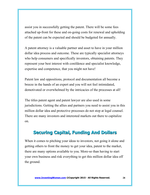assist you in successfully getting the patent. There will be some fees attached up-front for these and on-going costs for renewal and upholding of the patent can be expected and should be budgeted for annually.

A patent attorney is a valuable partner and asset to have in your million dollar idea process and outcome. These are typically specialist attorneys who help consumers and specifically inventors, obtaining patents. They represent your best interest with conifdence and specialist knowledge, expertise and competence, that you might not have!

Patent law and oppositions, protocol and documentation all become a breeze in the hands of an expert and you will not feel intimidated, demotivated or overwhelmed by the intricacies of the processes at all!

The titles patent agent and patent lawyer are also used in some jurisdictions. Getting the allies and partners you need to assist you in this million dollar idea and protective processes do not stop at legal counsel. There are many investors and interested markets out there to capitalize on.

#### **Securing Capital, Funding And Dollars**

When it comes to pitching your ideas to investors, not going it alone and getting others to front the money to get your idea, patent to the market, there are many options available to you. More-so than having to start your own business and risk everything to get this million dollar idea off the ground.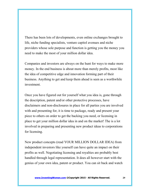There has been lots of developments, even online exchanges brought to life, niche funding specialists, venture capitol avenues and niche providers whose sole purpose and function is getting you the money you need to make the most of your million dollar idea.

Companies and investors are always on the hunt for ways to make more money. In the end business is about more than merely profits, most like the idea of competitive edge and innovation forming part of their business. Anything to get and keep them ahead is seen as a worthwhile investment.

Once you have figured out for yourself what you idea is, gone through the description, patent and/or other protective processes, have disclaimers and non-disclosures in place for all parties you are involved with and presenting for, it is time to package, ready and present your piece to others on order to get the backing you need, or licensing in place to get your million dollar idea in and on the market! The is a lot involved in preparing and presenting new product ideas to corporations for licensing.

New product concepts (read YOUR MILLION DOLLAR IDEA) from independent investors like yourself can have quite an impact on their profits as well. Negotiating licensing and royalties are probably best handled through legal representation. It does all however start with the genius of your own idea, patent or product. You can sit back and watch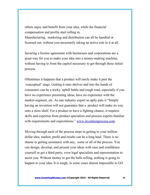others enjoy and benefit from your idea, while the financial compensation and profits start rolling in. Manufacturing, marketing and distribution can all be handled or licensed out, without you necessarily taking an active role in it at all.

Securing a license agreement with businesses and corporations are a great way for you to make your idea into a money-making machine, without having to front the capitol necessary to get through these initial process.

Oftentimes it happens that a product will rarely make it past the 'conceptual' stage. Getting it onto shelves and into the hands of consumers can be a tricky, uphill battle and tough road, especially if you have no experience presenting ideas, have no experience with the market-segment, etc. As one industry expert so aptly puts it "Simply having an invention will not guarantee that a product will make its way onto a store shelf. For a product to have a fighting chance, it requires skills and expertise from product specialists and process experts familiar with requirements and expectations." [www.inventionprocess.com](http://www.inventionprocess.com/)

Moving through each of the process steps in getting to your million dollar idea, market, profit and results can be a long haul. There is no shame in getting assistance with any, some or all of the process. You can design, develop, and present your ideas with ease and confidence yourself or get a third party, even legal specialists and representation to assist you. Without money to get the balls rolling, nothing is going to happen to your idea. It is tough, in some cases almost impossible to GO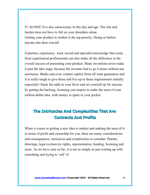IT ALONE! It is also unnecessary in this day and age. The risk and burden does not have to fall on your shoulders alone. Getting your product to market is the top priority. Doing so before anyone else does crucial!

Expertise, experience, track record and specialist knowledge that come from experienced professionals can also make all the difference in the overall success of presenting your product. Many inventions never make it past the idea stage, because the inventor had to go it alone without any assistance. Banks and even venture capitol firms all want guarantees and it is really tough to give those and live up to those requirements initially especially! Stack the odds in your favor and set yourself up for success by getting the backing, licensing you require to make the most of your million dollar idea, with money to spare in your pocket.

#### **The Intricacies And Complexities That Are Contracts And Profits**

When it comes to getting a new idea to market and making the most of it in terms of profit and ownership for you, there are many considerations and consequences, intricacies and complexities to consider. Patents, drawings, legal exclusivity rights, representation, funding, licensing and more. As we have seen so far, it is not as simple as just coming up with something and trying to 'sell' it!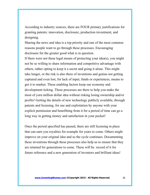According to industry sources, there are FOUR primary justifications for granting patents: innovation, disclosure, production investment, and designing.

Sharing the news and idea is a top priority and one of the most common reasons people want to go through these processes. Encouraging disclosure for the greater good what is in question.

If there were not these legal means of protecting your idea(s), you might not be so willing to share information and competitive advantage with others, rather opting to keep it a secret and going it alone. This might take longer, or the risk is also there of inventions and genius not getting captured and even lost, for lack of input, funds or experiences, means to get it to market. These enabling factors keep our economy and development ticking. These processes are there to help you make the most of yoru million dollar idea without risking losing ownership and/or profits! Getting the details of new technology publicly available, through patents and licensing, for use and exploitation by anyone with your explicit permission and benefitting from it for a period of time can go a long way in getting money and satisfaction in your pocket!

Once the period specified has passed, there are still licensing in place that can earn you royalties for example for years to come. Others might improve on your original idea and so the cycle continues. Documenting these inventions through these processes also help us to ensure that they are retained for generations to come. These will be record of it for future reference and a new generation of inventors and brilliant ideas!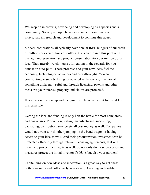We keep on improving, advancing and developing as a species and a community. Society at large, businesses and corporations, even individuals in research and development to continue this quest.

Modern corporations all typically have annual R&D budgets of hundreds of millions or even billions of dollars. You can dip into this pool with the right representation and product presentation for your million dollar idea. Then merely watch it take off, reaping in the rewards for you – almost on auto-pilot! These processe and your new ideas fuel the economy, technological advances and breakthroughs. You are contributing to society, being recognized as the owner, inventor of something different, useful and through licensing, patents and other measures your interest, property and claims are protected.

It is all about ownership and recognition. The what is in it for me if I do this principle.

Getting the idea and funding is only half the battle for most companies and businesses. Production, testing, manufacturing, marketing, packaging, distribution, service etc all cost money as well. Companies would not want to risk other jumping on the band wagon or having access to your idea as well. And their productization investment can be protected effecively through relevant licensing agreements, that will them help protect their rights as well. So not only do these processes and measures protect the initial inventor (YOU!), but also your partners!

Capitalizing on new ideas and innovation is a great way to get aheas, both personally and collectively as a society. Creating and enabling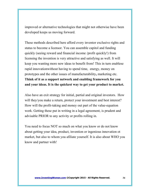improved or alternative technologies that might not otherwise have been developed keeps us moving forward.

These methods described here afford every inventor exclusive rights and status to become a licensor. You can assemble capitol and funding quickly (seeing reward and financial income /profit quickly!) from licensing the invention is very attractive and satisfying as well. It will keep you wanting more new ideas to benefit from! This in turn enablese rapid innovationwithout having to spend time, energy, money on prototypes and the other issues of manufacturability**,** marketing etc. **Think of it as a support network and enabling framework for you and your ideas. It is the quickest way to get your product to market.** 

Also have an exit strategy for initial, partial and original investors. How will they/you make a return, protect your investment and best interest? How will the profit-taking and money out part of the value-equation work. Getting these put in writing in a legal agreement, is prudent and advisable PRIOR to any activity or profits rolling in.

You need to focus NOT so much on what you know or do not know about getting your idea, product, invention or ingenious innovation ot market, but also to whom you afiliate yourself. It is also about WHO you know and partner with!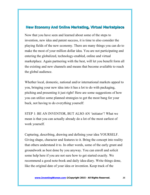#### **New Economy And Online Marketing, Virtual Marketplace**

Now that you have seen and learned about some of the steps to invention, new idea and patent success, it is time to also consider the playing fields of the new economy. There are many things you can do to make the most of your million dollar idea. You are not participating and entering the globalized, technology-enabled, online and virtual marketplace. Again partnering with the best, will let you benefit form all the existing and new channels and means that become available to reach the global audience.

Whether local, domestic, national and/or international markets appeal to you, bringing your new idea into it has a lot to do with packaging, pitching and presenting it just right! Here are some suggestions of how you can utilize some planned strategies to get the most bang for your buck, not having to do everything yourself:

STEP 1: BE AN INVENTOR, BUT ALSO AN 'initiator'! What we mean is that you can actually already do a lot of the most earliest of work yourself.

Capturing, describing, drawing and defining your idea YOURSELF. Giving shape, character and features to it. Bring the concept into reality that others understand it to. In other words, some of the early grunt and groundwork as best done by you anyway. You can enroll and solicit some help here if you are not sure how to get started exactly. We recommend a good note-book and daily idea-diary. Write things done, like the original date of your idea or invention. Keep track of the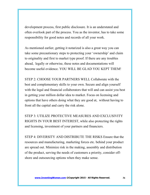development process, first public disclosure. It is an understated and often overlook part of the process. You as the inventor, has to take some responsibility for good notes and records of all your work.

As mentioned earlier, getting it notarized is also a great way you can take some precautionary steps to protecting your 'ownership' and claim to originality and first to market type proof. If there are any troubles ahead, legally or otherwise, these notes and documentations will become useful evidence. YOU WILL BE GLAD YOU KEPT THEM!

STEP 2: CHOOSE YOUR PARTNERS WELL Collaborate with the best and complementary skills to your own. Secure and align yourself with the legal and financial collaborators that will and can assist you best in getting your million dollar idea to market. Focus on licensing and options that have others doing what they are good at, without having to front all the capital and carry the risk alone.

STEP 3: UTILIZE PROTECTIVE MEASURES AND EXCLUSIVITY RIGHTS IN YOUR BEST INTEREST, while also protecting the rights and licensing, investment of your partners and financiers.

STEP 4: DIVERSITY AND DISTRIBUTE THE RISKS Ensure that the resources and manufacturing, marketing forces etc. behind your product are spread out. Minimize risk in the making, assembly and distribution of the product, serving the needs of customers a priority, consider offshore and outsourcing options when they make sense.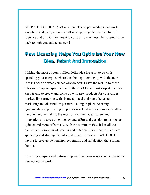STEP 5: GO GLOBAL! Set up channels and partnerships that work anywhere and everywhere overall when put together. Streamline all logistics and distribution keeping costs as low as possible, passing value back to both you and consumers!

## **How Licensing Helps You Optimize Your New Idea, Patent And Innovation**

Making the most of your million dollar idea has a lot to do with spending your energies where they belong- coming up with the new ideas! Focus on what you actually do best. Leave the rest up to those who are set up and qualified to do their bit! Do not just stop at one idea, keep trying to create and come up with new products for your target market. By partnering with financial, legal and manufacturing, marketing and distribution partners, setting in place licensing agreements and protecting all parties involved in these processes all go hand in hand in making the most of your new idea, patent and innovations. It saves time, money and effort and gets dollars in pockets quicker and more effectively, with the minimum risk. It has all the elements of a successful process and outcome, for all parties. You are spreading and sharing the risks and rewards involved! WITHOUT having to give up ownership, recognition and satisfaction that springs from it.

Lowering margins and outsourcing are ingenious ways you can make the new economy work.

 **[www.InventingWomen.co](http://www.InventingWomen.co/)[m](http://Www.InventingWomen.com/) ©Copyright 2015 - All Rights Reserved. 37**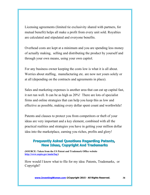Licensing agreements (limited tie exclusivity shared with partners, for mutual benefit) helps all make a profit from every unit sold. Royalties are calculated and stipulated and everyone benefits.

Overhead costs are kept at a minimum and you are spending less money of actually making, selling and distributing the product by yourself and through your own means, using your own capitol.

For any business owner keeping the costs low is what it is all about. Worries about staffing, manufacturing etc. are now not yours solely or at all (depending on the contracts and agreements in place).

Sales and marketing expenses is another area that can eat up capital fast, it not run well. It can be as high as 20%! There are lots of specialist firms and online strategies that can help you keep this as low and effective as possible, making every dollar spent count and worthwhile!

Patents and clauses to protect you from competitors or theft of your ideas are very important and a key element, combined with all the practical realities and strategies you have in getting your million dollar idea into the marketplace, earning you riches, profits and glory!

#### **Frequently Asked Questions Regarding Patents, New Ideas, Copyright And Trademarks**

**(SOURCE: Taken from the US Patent and Trademark Office website [http://www.uspto.gov/main/faq/\)](http://www.uspto.gov/main/faq/)**

How would I know what to file for my idea: Patents, Trademarks, or Copyright?

 **[www.InventingWomen.co](http://www.InventingWomen.co/)[m](http://Www.InventingWomen.com/) ©Copyright 2015 - All Rights Reserved. 38**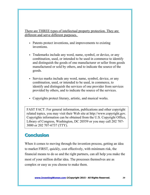There are THREE types of intellectual property protection. They are different and serve different purposes.

- Patents protect inventions, and improvements to existing inventions.
- Trademarks include any word, name, symbol, or device, or any combination, used, or intended to be used in commerce to identify and distinguish the goods of one manufacturer or seller from goods manufactured or sold by others, and to indicate the source of the goods.
- Service marks include any word, name, symbol, device, or any combination, used, or intended to be used, in commerce, to identify and distinguish the services of one provider from services provided by others, and to indicate the source of the services.
- Copyrights protect literary, artistic, and musical works.

FAST FACT: For general information, publications and other copyright related topics, you may visit their Web site at http://www.copyright.gov. Copyrights information can be obtained from the U.S. Copyright Office, Library of Congress, Washington, DC 20559 or you may call 202 707- 3000 or 202 707-6737 (TTY).

#### **Conclusion**

When it comes to moving through the invention process, getting an idea to market FIRST, quickly, cost effectively, with minimum risk, the financial means to do so and the right partners, can all help you make the most of your million dollar idea. The processes themselves are as complex or easy as you choose to make them.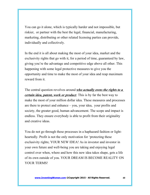You can go it alone, which is typically harder and not impossible, but riskier, or partner with the best the legal, financial, manufacturing, marketing, distributing or other related licensing parties can provide, individually and collectively.

In the end it is all about making the most of your idea, market and the exclusivity rights that go with it, for a period of time, guaranteed by law, giving you're the advantage and competitive edge above all other. This happening with some legal protective measures to give you the opportunity and time to make the most of your idea and reap maximum reward from it.

The central question revolves around *who actually owns the rights to a certain idea, patent, work or product*. This is by far the best way to make the most of your million dollar idea. These measures and processes are there to protect and enhance – you, your idea, your profits and society, the greater good, human advancement. The scope and impact is endless. They ensure everybody is able to profit from their originality and creative ideas.

You do not go through these processes in a haphazard fashion or lightheartedly. Profit is not the only motivation for 'protecting these exclusivity rights; YOUR NEW IDEA! As in investor and investor in your own future and well-being you are taking and enjoying legal control over when, where and how this new idea takes shape, gets a life of its own outside of you. YOUR DREAM IS BECOME REALITY ON YOUR TERMS!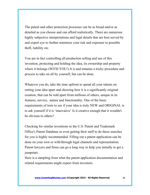The patent and other protection processes can be as broad and/or as detailed as you choose and can afford realistically. There are numerous highly subjective interpretations and legal details that are best served by and expert eye to further minimize your risk and exposure to possible theft, liability etc.

You are in fact controlling all production selling and use of this invention, protecting and holding the idea, its ownership and property where it belongs (WITH YOU!) It is and remains a tricky procedure and process to take on all by yourself, but can be done.

Whatever you do, take the time upfront to spend all your talents on setting your idea apart and showing how it is a significantly original creation, that can be told apart from millions of others, unique in its features, service, nature and functionality. One of the basic requirements of tests to see if your idea is truly NEW and ORIGINAL is to ask yourself if it is 'innovative' Is it creative enough that it wouldn't be obvious to others?

Checking for similar inventions in the U.S. Patent and Trademark Office's Patent Database or even getting their staff to do these searches for you is highly recommended. Filling out a patent application can be done on your own or with/through legal channels and representation. Patent lawyers and firms can go a long way to help you initially to get a jumpstart.

Here is a sampling from what the patent application documentation and related requirements might expect from investors: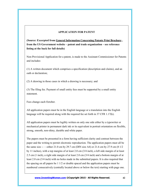#### **APPLICATION FOR PATENT**

**(Source: Excerpted from General Information Concerning Patents Print Brochure , from the US Government website – patent and trade organization – see reference listing at the back for full details)**

Non-Provisional Application for a patent, is made to the Assistant Commissioner for Patents and includes:

(1) A written document which comprises a specification (description and claims), and an oath or declaration;

(2) A drawing in those cases in which a drawing is necessary; and

(3) The filing fee. Payment of small entity fees must be supported by a small entity statement.

Fees change each October.

All application papers must be in the English language or a translation into the English language will be required along with the required fee set forth in 37 CFR 1.17(k).

All application papers must be legibly written on only one side either by a typewriter or mechanical printer in permanent dark ink or its equivalent in portrait orientation on flexible, strong, smooth, non-shiny, durable and white paper.

The papers must be presented in a form having sufficient clarity and contrast between the paper and the writing to permit electronic reproduction. The application papers must all be the same size -- —either 21.0 cm by 29.7 cm (DIN size A4) or 21.6 cm by 27.9 cm (8 1/2 by 11 inches), with a top margins of at least 2.0 cm (3/4 inch), a left side margin of at least 2.5 cm (1 inch), a right side margin of at least 2.0 cm (3/4 inch) and a bottom margin of at least 2.0 cm (3/4 inch) with no holes made in the submitted papers. It is also required that the spacing on all papers be 1 1/2 or double spaced and the application papers must be numbered consecutively (centrally located above or below the text) starting with page one.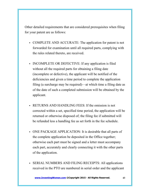Other detailed requirements that are considered prerequisites when filing for your patent are as follows:

- COMPLETE AND ACCURATE: The application for patent is not forwarded for examination until all required parts, complying with the rules related thereto, are received.
- INCOMPLETE OR DEFECTIVE: If any application is filed without all the required parts for obtaining a filing date (incomplete or defective), the applicant will be notified of the deficiencies and given a time period to complete the application filing (a surcharge may be required)—at which time a filing date as of the date of such a completed submission will be obtained by the applicant.
- RETURNS AND HANDLING FEES: If the omission is not corrected within a set, specified time period, the application will be returned or otherwise disposed of; the filing fee if submitted will be refunded less a handling fee as set forth in the fee schedule.
- ONE PACKAGE APPLICATION: It is desirable that all parts of the complete application be deposited in the Office together; otherwise each part must be signed and a letter must accompany each part, accurately and clearly connecting it with the other parts of the application.
- SERIAL NUMBERS AND FILING RECEIPTS: All applications received in the PTO are numbered in serial order and the applicant

 **[www.InventingWomen.co](http://www.InventingWomen.co/)[m](http://Www.InventingWomen.com/) ©Copyright 2015 - All Rights Reserved. 43**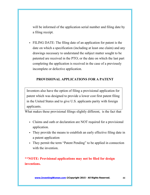will be informed of the application serial number and filing date by a filing receipt.

 FILING DATE: The filing date of an application for patent is the date on which a specification (including at least one claim) and any drawings necessary to understand the subject matter sought to be patented are received in the PTO; or the date on which the last part completing the application is received in the case of a previously incomplete or defective application.

#### **PROVISIONAL APPLICATIONS FOR A PATENT**

Inventors also have the option of filing a provisional application for patent which was designed to provide a lower cost first patent filing in the United States and to give U.S. applicants parity with foreign applicants.

What makes these provisional filings slightly different, is the fact that

- Claims and oath or declaration are NOT required for a provisional application.
- They provide the means to establish an early effective filing date in a patent application
- They permit the term "Patent Pending" to be applied in connection with the invention.

**\*\*NOTE: Provisional applications may not be filed for design inventions.** 

 **[www.InventingWomen.co](http://www.InventingWomen.co/)[m](http://Www.InventingWomen.com/) ©Copyright 2015 - All Rights Reserved. 44**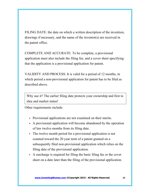FILING DATE: the date on which a written description of the invention, drawings if necessary, and the name of the inventor(s) are received in the patent office.

COMPLETE AND ACCURATE: To be complete, a provisional application must also include the filing fee, and a cover sheet specifying that the application is a provisional application for patent.

VALIDITY AND PROCESS: It is valid for a period of 12 months, in which period a non-provisional application for patent has to be filed as described above.

Why use it? The earlier filing date protects your ownership and first to idea and market status!

Other requirements include:

- Provisional applications are not examined on their merits.
- A provisional application will become abandoned by the operation of law twelve months from its filing date.
- The twelve month period for a provisional application is not counted toward the 20 year term of a patent granted on a subsequently filed non-provisional application which relies on the filing date of the provisional application.
- A surcharge is required for filing the basic filing fee or the cover sheet on a date later than the filing of the provisional application.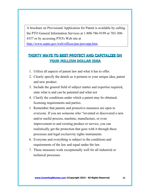A brochure on Provisional Application for Patent is available by calling the PTO General Information Services at 1-800-786-9199 or 703-308- 4357 or by accessing PTO's Web site at

[http://www.uspto.gov/web/offices/pac/provapp.htm.](http://www.uspto.gov/web/offices/pac/provapp.htm)

#### **THIRTY WAYS TO BEST PROTECT AND CAPITALIZE ON YOUR MILLION DOLLAR IDEA**

- 1. Utilize all aspects of patent law and what it has to offer.
- 2. Clearly specify the details as it pertains to your unique idea, patent and new product.
- 3. Include the general field of subject matter and expertise required, state what is and can be patented and what not
- 4. Clarify the conditions under which a patent may be obtained, licensing requirements and parties.
- 5. Remember that patents and protective measures are open to everyone. If you are someone who "invented or discovered a new and/or useful process, machine, manufacture, or even improvement to and existing product or service, you can realistically get the protection that goes with it through these processes and legal exclusivity rights instruments.
- 6. Everyone and everything is subject to the conditions and requirements of the law and equal under the law.
- 7. These measures work exceptionally well for all industrial or technical processes.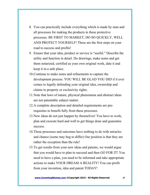- 8. You can practically include everything which is made by man and all processes for making the products in these protective processes. BE FIRST TO MARKET, DO SO QUICKLY, WELL AND PROTECT YOURSELF! These are the first steps on your road to success and profits!
- 9. Ensure that your idea, product or service is "useful." Describe the utility and function in detail. Do drawings, make notes and get them notarized, certified as your own original work, date it and keep it in a safe place.
- 10.Continue to make notes and refinements to capture the development process. YOU WILL BE GLAD YOU DID if it ever comes to legally defending your original idea, ownership and claims to property or exclusivity rights.
- 11.Note that laws of nature, physical phenomena and abstract ideas are not patentable subject matter.
- 12.A complete description and detailed requirements are prerequisites to benefit fully from these processes
- 13.New ideas do not just happen by themselves! You have to work, plan and execute hard and well to get things done and guarantee success.
- 14.These processes and outcomes have nothing to do with miracles and chance (some may beg to differ) Our position is that they are rather the exception than the rule!
- 15.To get results from your new ideas and patents, we would argue that you would have to plan to succeed and then GO FOR IT! You need to have a plan, you need to be informed and take appropriate actions to make YOUR DREAM A REALITY! You can profit from your invention, idea and patent TODAY!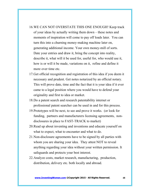#### 16.WE CAN NOT OVERSTATE THIS ONE ENOUGH! Keep track

of your ideas by actually writing them down – these notes and moments of inspiration will come to pay off loads later. You can turn this into a churning money-making machine later on, generating additional income. Your own money-mill of sorts. Date your entries and draw it, bring the concept into reality, describe it, what will it be used for, useful for, who would use it, how is or will it be made, variations on it, refine and define it more over time etc.

- 17.Get official recognition and registration of this idea if you deem it necessary and prudent. Get notes notarized by an official notary. This will prove date, time and the fact that it is your idea if it ever came to a legal position where you would have to defend your originality and first to idea or market.
- 18.Do a patent search and research patentability internet or professional patent searcher can be used in and for this process.
- 19.Prototypes will be next, to see and prove it works. (or look for funding, partners and manufacturers licensing agreements, nondisclosures in place to FAST-TRACK to market)
- 20.Read up about inventing and inventions and educate yourself on what to expect, what to encounter and what to do.
- 21.Non-disclosure agreements have to be signed by all parties with whom you are sharing your idea. They attest NOT to reveal anything regarding your idea without your written permission. It safeguards and protects your best interest.
- 22.Analyze costs, market research, manufacturing, production, distribution, delivery etc. both locally and abroad.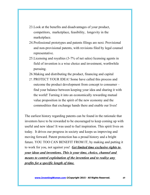- 23.Look at the benefits and disadvantages of your product, competitors, marketplace, feasibility, longevity in the marketplace.
- 24.Professional prototypes and patents filings are next. Provisional and non-provisional patents, with revisions filed by legal counsel representative.
- 25.Licensing and royalties (3-7% of net sales) licensing agents in field of invention is a wise choice and investment, worthwhile pursuing.
- 26.Making and distributing the product, financing and capital
- 27. PROTECT YOUR IDEA! Some have called this process and outcome the product development from concept to consumer – find your balance between keeping your idea and sharing it with the world! Turning it into an economically rewarding mutual value proposition in the spirit of the new economy and the commodities that exchange hands there and enable our lives!

The earliest history regarding patents can be found in the rationale that inventors have to be rewarded to be encouraged to keep coming up with useful and new ideas! It was used to fuel inspiration. This spirit lives on today. It drives our progress in society and keeps us improving and moving forward. Patent protection has a proud history and a bright future. YOU TOO CAN BENEFIT FROM IT, by making and putting it to work for you, not against you! *Get limited time exclusive rights to your ideas and inventions. This is your time, choice, channel and means to control exploitation of the invention and to realize any profits for a specific length of time.*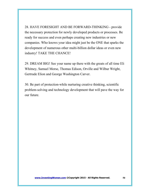28. HAVE FORESIGHT AND BE FORWARD-THINKING - provide the necessary protection for newly developed products or processes. Be ready for success and even perhaps creating new industries or new companies. Who knows your idea might just be the ONE that sparks the development of numerous other multi-billion dollar ideas or even new industry! TAKE THE CHANCE!

29. DREAM BIG! See your name up there with the greats of all time Eli Whitney, Samuel Morse, Thomas Edison, Orville and Wilbur Wright, Gertrude Elion and George Washington Carver.

30. Be part of protection-while nurturing creative thinking, scientific problem-solving and technology development that will pave the way for our future.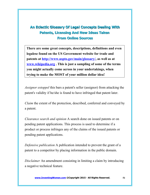#### **An Eclectic Glossary Of Legal Concepts Dealing With Patents, Licensing And New Ideas Taken From Online Sources**

**There are some great concepts, descriptions, definitions and even legalese found on the US Government website for trade and patents at [http://www.uspto.gov/main/glossary/,](http://www.uspto.gov/main/glossary/) as well as at [www.wikipedia.org](http://www.wikipedia.org/) . This is just a sampling of some of the terms you might actually come across in your undertakings, when trying to make the MOST of your million dollar idea!** 

*Assignor estoppel* this bars a patent's seller (assignor) from attacking the patent's validity if he/she is found to have infringed that patent later.

*Claim* the extent of the protection, described, conferred and conveyed by a patent.

*Clearance search and opinion* A search done on issued patents or on pending patent applications. This process is used to determine if a product or process infringes any of the claims of the issued patents or pending patent applications.

*Defensive publication* A publication intended to prevent the grant of a patent to a competitor by placing information in the public domain.

*Disclaimer* An amendment consisting in limiting a claim by introducing a negative technical feature.

 **[www.InventingWomen.co](http://www.InventingWomen.co/)[m](http://Www.InventingWomen.com/) ©Copyright 2015 - All Rights Reserved. 51**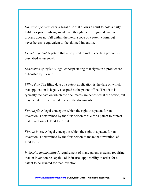*Doctrine of equivalents* A legal rule that allows a court to hold a party liable for patent infringement even though the infringing device or process does not fall within the literal scope of a patent claim, but nevertheless is equivalent to the claimed invention.

*Essential patent* A patent that is required to make a certain product is described as essential.

*Exhaustion of rights* A legal concept stating that rights in a product are exhausted by its sale.

*Filing date* The filing date of a patent application is the date on which that application is legally accepted at the patent office. That date is typically the date on which the documents are deposited at the office, but may be later if there are defects in the documents.

*First to file* A legal concept in which the right to a patent for an invention is determined by the first person to file for a patent to protect that invention, cf. First to invent.

*First to invent* A legal concept in which the right to a patent for an invention is determined by the first person to make that invention, cf. First to file.

*Industrial applicability* A requirement of many patent systems, requiring that an invention be capable of industrial applicability in order for a patent to be granted for that invention.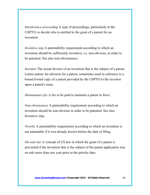*Interference proceeding* A type of proceedings, particularly at the USPTO, to decide who is entitled to the grant of a patent for an invention.

*Inventive step* A patentability requirement according to which an invention should be sufficiently inventive, i.e. non-obvious, in order to be patented. See also non-obviousness.

*Inventor* The actual devisor of an invention that is the subject of a patent. Letters patent An old term for a patent, sometimes used in reference to a bound formal copy of a patent provided by the USPTO to the inventor upon a patent's issue.

*Maintenance fee* A fee to be paid to maintain a patent in force.

*Non-obviousness* A patentability requirement according to which an invention should be non-obvious in order to be patented. See also Inventive step.

*Novelty* A patentability requirement according to which an invention is not patentable if it was already known before the date of filing.

*On-sale bar* A concept of US law in which the grant of a patent is prevented if the invention that is the subject of the patent application was on sale more than one year prior to the priority date.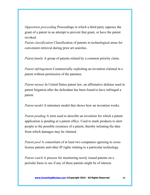*Opposition proceeding* Proceedings in which a third party opposes the grant of a patent in an attempt to prevent that grant, or have the patent revoked.

*Patent classification* Classification of patents in technological areas for convenient retrieval during prior art searches.

*Patent family* A group of patents related by a common priority claim.

*Patent infringement* Commercially exploiting an invention claimed in a patent without permission of the patentee.

*Patent misuse* In United States patent law, an affirmative defense used in patent litigation after the defendant has been found to have infringed a patent.

*Patent model* A miniature model that shows how an invention works.

*Patent pending* A term used to describe an invention for which a patent application is pending at a patent office. Used to mark products to alert people to the possible existence of a patent, thereby initiating the date from which damages may be claimed.

*Patent pool* A consortium of at least two companies agreeing to crosslicense patents and other IP rights relating to a particular technology.

*Patent watch* A process for monitoring newly issued patents on a periodic basis to see if any of these patents might be of interest.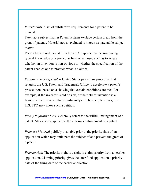*Patentability* A set of substantive requirements for a patent to be granted.

Patentable subject matter Patent systems exclude certain areas from the grant of patents. Material not so excluded is known as patentable subject matter.

Person having ordinary skill in the art A hypothetical person having typical knowledge of a particular field or art, used such as to assess whether an invention is non-obvious or whether the specification of the patent enables one to practice what is claimed.

*Petition to make special* A United States patent law procedure that requests the U.S. Patent and Trademark Office to accelerate a patent's prosecution, based on a showing that certain conditions are met. For example, if the inventor is old or sick, or the field of invention is a favored area of science that significantly enriches people's lives, The U.S. PTO may allow such a petition.

*Piracy Pejorative term*. Generally refers to the willful infringement of a patent. May also be applied to the vigorous enforcement of a patent.

*Prior art Material* publicly available prior to the priority date of an application which may anticipate the subject of and prevent the grant of a patent.

*Priority right* The priority right is a right to claim priority from an earlier application. Claiming priority gives the later filed application a priority date of the filing date of the earlier application.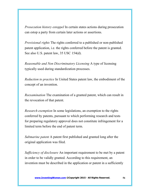*Prosecution history estoppel* In certain states actions during prosecution can estop a party from certain later actions or assertions.

*Provisional rights* The rights conferred to a published or non-published patent application, i.e. the rights conferred before the patent is granted. See also U.S. patent law, 35 USC 154(d).

*Reasonable and Non Discriminatory Licensing* A type of licensing typically used during standardization processes.

*Reduction to practice* In United States patent law, the embodiment of the concept of an invention.

*Reexamination* The examination of a granted patent, which can result in the revocation of that patent.

*Research exemption* In some legislations, an exemption to the rights conferred by patents, pursuant to which performing research and tests for preparing regulatory approval does not constitute infringement for a limited term before the end of patent term.

*Submarine patent* A patent first published and granted long after the original application was filed.

*Sufficiency of disclosure* An important requirement to be met by a patent in order to be validly granted. According to this requirement, an invention must be described in the application or patent in a sufficiently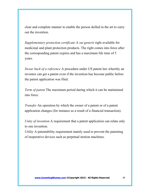clear and complete manner to enable the person skilled in the art to carry out the invention.

*Supplementary protection certificate* A *sui generis* right available for medicinal and plant protection products. The right comes into force after the corresponding patent expires and has a maximum life time of 5 years.

*Swear back of a reference* A procedure under US patent law whereby an inventor can get a patent even if the invention has become public before the patent application was filed.

*Term of patent* The maximum period during which it can be maintained into force.

*Transfer* An operation by which the owner of a patent or of a patent application changes (for instance as a result of a financial transaction).

*Unity of invention* A requirement that a patent application can relate only to one invention.

*Utility* A patentability requirement mainly used to prevent the patenting of inoperative devices such as perpetual motion machines.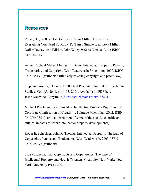#### **Resources**

Reese, H. , (2002): How to License Your Million Dollar Idea: Everything You Need To Know To Turn a Simple Idea into a Million Dollar Payday, 2nd Edition, John Wiley & Sons Canada, Ltd. ; ISBN: 0471204013

Arthur Raphael Miller, Michael H. Davis, Intellectual Property: Patents, Trademarks, and Copyright, West Wadsworth; 3rd edition, 2000, ISBN 0314235191 (textbook particularly covering copyright and patent law)

Stephan Kinsella, "Against Intellectual Property", Journal of Libertarian Studies, Vol. 15, No. 1, pp. 1-53, 2001. Available in .PDF here Jason Mazzone, Copyfraud,<http://ssrn.com/abstract=787244>

Michael Perelman, Steal This Idea: Intellectual Property Rights and the Corporate Confiscation of Creativity, Palgrave Macmillan, 2002, ISBN 0312294085, (a critical discussion of some of the social, scientific and cultural impacts of recent intellectual property developments)

Roger E. Schechter, John R. Thomas, Intellectual Property: The Law of Copyrights, Patents and Trademarks, West Wadsworth, 2003, ISBN 0314065997 (textbook)

Siva Vaidhyanathan, Copyrights and Copywrongs: The Rise of Intellectual Property and How it Threatens Creativity. New York: New York University Press, 2001.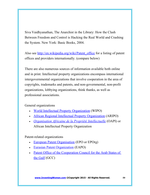Siva Vaidhyanathan, The Anarchist in the Library: How the Clash Between Freedom and Control is Hacking the Real World and Crashing the System. New York: Basic Books, 2004.

Also see [http://en.wikipedia.org/wiki/Patent\\_office](http://en.wikipedia.org/wiki/Patent_office) for a listing of patent offices and providers internationally. (compare below)

There are also numerous sources of information available both online and in print. Intellectual property organizations encompass international intergovernmental organizations that involve cooperation in the area of copyrights, trademarks and patents, and non-governmental, non-profit organizations, lobbying organizations, think thanks, as well as professional associations.

General organizations

- [World Intellectual Property Organization](http://en.wikipedia.org/wiki/World_Intellectual_Property_Organization) (WIPO)
- [African Regional Intellectual Property Organization](http://en.wikipedia.org/wiki/African_Regional_Intellectual_Property_Organization) (ARIPO)
- *[Organisation Africaine de la Propriété Intellectuelle](http://en.wikipedia.org/wiki/Organisation_Africaine_de_la_Propri%C3%A9t%C3%A9_Intellectuelle)* (OAPI) or African Intellectual Property Organization

Patent-related organizations

- [European Patent Organisation](http://en.wikipedia.org/wiki/European_Patent_Organisation) (EPO or EPOrg)
- [Eurasian Patent Organization](http://en.wikipedia.org/wiki/Eurasian_Patent_Organization) (EAPO)
- Patent Office of the Cooperation Council for the Arab States of [the Gulf](http://en.wikipedia.org/w/index.php?title=GCC_Patent_Office&action=edit) (GCC)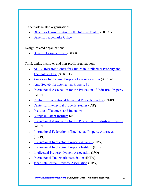Trademark-related organizations

- [Office for Harmonization in the Internal Market](http://en.wikipedia.org/wiki/Office_for_Harmonization_in_the_Internal_Market) (OHIM)
- [Benelux Trademarks Office](http://en.wikipedia.org/w/index.php?title=Benelux_Trademarks_Office&action=edit)

Design-related organizations

[Benelux Designs Office](http://en.wikipedia.org/w/index.php?title=Benelux_Designs_Office&action=edit) (BDO)

Think tanks, institutes and non-profit organizations

- [AHRC Research Centre for Studies in Intellectual Property and](http://en.wikipedia.org/wiki/SCRIPT_(AHRC_Centre))  [Technology Law](http://en.wikipedia.org/wiki/SCRIPT_(AHRC_Centre)) (SCRIPT)
- [American Intellectual Property Law Association](http://en.wikipedia.org/wiki/American_Intellectual_Property_Law_Association) (AIPLA)
- [Arab Society for Intellectual Property](http://en.wikipedia.org/w/index.php?title=Arab_Society_for_Intellectual_Property&action=edit) [\[1\]](http://www.aspip.org/Default.aspx?&lang=en)
- [International Association for the Protection of Industrial Property](http://en.wikipedia.org/wiki/International_Association_for_the_Protection_of_Industrial_Property) (AIPPI)
- [Centre for International Industrial Property Studies](http://en.wikipedia.org/wiki/Centre_for_International_Industrial_Property_Studies) (CEIPI)
- [Center for Intellectual Property Studies](http://en.wikipedia.org/wiki/Center_for_Intellectual_Property_Studies) (CIP)
- [Institute of Patentees and Inventors](http://en.wikipedia.org/wiki/Institute_of_Patentees_and_Inventors)
- [European Patent Institute](http://en.wikipedia.org/wiki/Institute_of_Professional_Representatives_before_the_European_Patent_Office) (epi)
- [International Association for the Protection of Industrial Property](http://en.wikipedia.org/wiki/International_Association_for_the_Protection_of_Industrial_Property) (AIPPI)
- [International Federation of Intellectual Property Attorneys](http://en.wikipedia.org/wiki/International_Federation_of_Intellectual_Property_Attorneys) (FICPI)
- [International Intellectual Property Alliance](http://en.wikipedia.org/wiki/International_Intellectual_Property_Alliance) (IIPA)
- [International Intellectual Property Institute](http://en.wikipedia.org/w/index.php?title=International_Intellectual_Property_Institute&action=edit) (IIPI)
- [Intellectual Property Owners Association](http://en.wikipedia.org/wiki/Intellectual_Property_Owners_Association) (IPO)
- **[International Trademark Association](http://en.wikipedia.org/wiki/International_Trademark_Association) (INTA)**
- [Japan Intellectual Property Association](http://en.wikipedia.org/w/index.php?title=Japan_Intellectual_Property_Association&action=edit) (JIPA)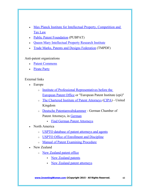- [Max Planck Institute for Intellectual Property, Competition and](http://en.wikipedia.org/w/index.php?title=Max_Planck_Institute_for_Intellectual_Property%2C_Competition_and_Tax_Law&action=edit)  [Tax Law](http://en.wikipedia.org/w/index.php?title=Max_Planck_Institute_for_Intellectual_Property%2C_Competition_and_Tax_Law&action=edit)
- [Public Patent Foundation](http://en.wikipedia.org/wiki/Public_Patent_Foundation) (PUBPAT)
- Oueen Mary Intellectual Property Research Institute
- [Trade Marks, Patents and Designs Federation](http://en.wikipedia.org/w/index.php?title=Trade_Marks%2C_Patents_and_Designs_Federation&action=edit) (TMPDF)

Anti-patent organizations

- [Patent Commons](http://en.wikipedia.org/wiki/Patent_Commons)
- [Pirate Party](http://en.wikipedia.org/wiki/Pirate_Party)

#### External links

- Europe
	- o [Institute of Professional Representatives before the](http://www.patentepi.com/)  [European Patent Office](http://www.patentepi.com/) or "European Patent Institute (epi)"
	- o [The Chartered Institute of Patent Attorneys](http://www.cipa.org.uk/) [\(CIPA\)](http://en.wikipedia.org/wiki/Chartered_Institute_of_Patent_Attorneys) United Kingdom
	- o [Deutsche Patentanwaltskammer](http://www.patentanwalt.de/)  German Chamber of Patent Attorneys, in [German](http://en.wikipedia.org/wiki/German_language)
		- **[Find German Patent Attorneys](http://www.patentanwalt.de/dl/anwaltsuche.html)**
- North America
	- o [USPTO database of patent attorneys and agents](http://www.uspto.gov/web/offices/dcom/olia/oed/roster/index.html)
	- o [USPTO Office of Enrollment and Discipline](http://www.uspto.gov/web/offices/dcom/gcounsel/oed.htm)
	- o [Manual of Patent Examining Procedure](http://www.uspto.gov/web/offices/pac/mpep/)
- New Zealand
	- o [New Zealand patent office](http://www.iponz.govt.nz/pls/web/DBSSITEN.main?p_access_no=7C32961DAF11308CC3788C1C2E3A6824)
		- [New Zealand patents](http://www.iponz.govt.nz/pls/web/DBSSITEN.main?p_access_no=7C32961DAF11308CC3788C1C2E3A6824)
		- Kew Zealand patent attorneys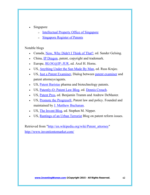- Singapore
	- o [Intellectual Property Office of Singapore](http://www.ipos.gov.sg/)
	- o [Singapore Register of Patents](http://www.epatents.gov.sg/)

#### Notable blogs

- Canada, [Now, Why Didn't I Think of That?,](http://www.gelsing.ca/blog) ed. Sander Gelsing.
- China, [IP Dragon,](http://ipdragon.blogspot.com/) patent, copyright and trademark.
- Europe,  $\underline{BLOG@IP::JUR}$ , ed. Axel H. Horns.
- . US, [Anything Under the Sun Made By Man,](http://www.krajec.com/blog/) ed. Russ Krajec.
- US, [Just a Patent Examiner,](http://just-n-examiner.livejournal.com/) Dialog between [patent examiner](http://en.wikipedia.org/wiki/Patent_clerk) and patent attorneys/agents.
- US, [Patent Baristas](http://www.patentbaristas.com/) pharma and biotechnology patents.
- US, [Patently-O: Patent Law Blog,](http://www.patentlyobviousblog.com/) ed. [Dennis Crouch.](http://en.wikipedia.org/wiki/Dennis_Crouch)
- US, [Patent Pros,](http://patentpros.typepad.com/) ed. Benjamin Tramm and Andrew DeMaster.
- US, Promote the Progress<sup>®</sup>, Patent law and policy. Founded and maintained by [J. Matthew Buchanan.](http://www.promotetheprogress.com/contact.html)
- US, [The Invent Blog,](http://www.inventblog.com/) ed. Stephen M. Nipper.
- US, [Rantings of an Urban Terrorist](http://urbanterrorist.blogspot.com/) Blog on patent reform issues.

Retrieved from ["http://en.wikipedia.org/wiki/Patent\\_attorney"](http://en.wikipedia.org/wiki/Patent_attorney) <http://www.inventiontomarket.com/>